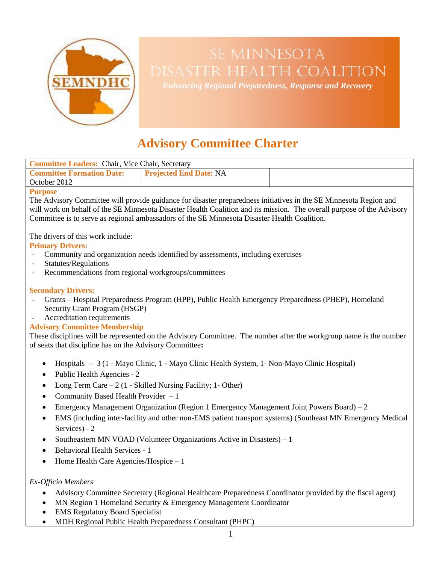

# SE MINNESOTA Disaster Health Coalition

*Enhancing Regional Preparedness, Response and Recovery*

## **Advisory Committee Charter**

| <b>Committee Leaders:</b> Chair, Vice Chair, Secretary                                                                                                                                                                 |                               |  |
|------------------------------------------------------------------------------------------------------------------------------------------------------------------------------------------------------------------------|-------------------------------|--|
| <b>Committee Formation Date:</b>                                                                                                                                                                                       | <b>Projected End Date: NA</b> |  |
| October 2012                                                                                                                                                                                                           |                               |  |
| <b>Purpose</b>                                                                                                                                                                                                         |                               |  |
| The Advisory Committee will provide guidance for disaster preparedness initiatives in the SE Minnesota Region and                                                                                                      |                               |  |
| will work on behalf of the SE Minnesota Disaster Health Coalition and its mission. The overall purpose of the Advisory<br>Committee is to serve as regional ambassadors of the SE Minnesota Disaster Health Coalition. |                               |  |
| The drivers of this work include:                                                                                                                                                                                      |                               |  |
| <b>Primary Drivers:</b>                                                                                                                                                                                                |                               |  |
| Community and organization needs identified by assessments, including exercises                                                                                                                                        |                               |  |
| Statutes/Regulations<br>$\overline{\phantom{a}}$<br>Recommendations from regional workgroups/committees                                                                                                                |                               |  |
| $\overline{\phantom{a}}$                                                                                                                                                                                               |                               |  |
| <b>Secondary Drivers:</b>                                                                                                                                                                                              |                               |  |
| Grants - Hospital Preparedness Program (HPP), Public Health Emergency Preparedness (PHEP), Homeland                                                                                                                    |                               |  |
| Security Grant Program (HSGP)                                                                                                                                                                                          |                               |  |
| Accreditation requirements                                                                                                                                                                                             |                               |  |
| <b>Advisory Committee Membership</b>                                                                                                                                                                                   |                               |  |
| These disciplines will be represented on the Advisory Committee. The number after the workgroup name is the number<br>of seats that discipline has on the Advisory Committee:                                          |                               |  |
|                                                                                                                                                                                                                        |                               |  |
| Hospitals - 3 (1 - Mayo Clinic, 1 - Mayo Clinic Health System, 1 - Non-Mayo Clinic Hospital)<br>$\bullet$                                                                                                              |                               |  |
| Public Health Agencies - 2<br>$\bullet$                                                                                                                                                                                |                               |  |
| Long Term Care $-2$ (1 - Skilled Nursing Facility; 1- Other)<br>$\bullet$                                                                                                                                              |                               |  |
| Community Based Health Provider - 1<br>$\bullet$                                                                                                                                                                       |                               |  |
| Emergency Management Organization (Region 1 Emergency Management Joint Powers Board) – 2<br>$\bullet$                                                                                                                  |                               |  |
| EMS (including inter-facility and other non-EMS patient transport systems) (Southeast MN Emergency Medical<br>$\bullet$                                                                                                |                               |  |
| Services) - 2                                                                                                                                                                                                          |                               |  |
| Southeastern MN VOAD (Volunteer Organizations Active in Disasters) - 1<br>$\bullet$                                                                                                                                    |                               |  |
| <b>Behavioral Health Services - 1</b><br>$\bullet$                                                                                                                                                                     |                               |  |
| Home Health Care Agencies/Hospice - 1<br>$\bullet$                                                                                                                                                                     |                               |  |
|                                                                                                                                                                                                                        |                               |  |
| Ex-Officio Members                                                                                                                                                                                                     |                               |  |

- Advisory Committee Secretary (Regional Healthcare Preparedness Coordinator provided by the fiscal agent)
- MN Region 1 Homeland Security & Emergency Management Coordinator
- EMS Regulatory Board Specialist
- MDH Regional Public Health Preparedness Consultant (PHPC)